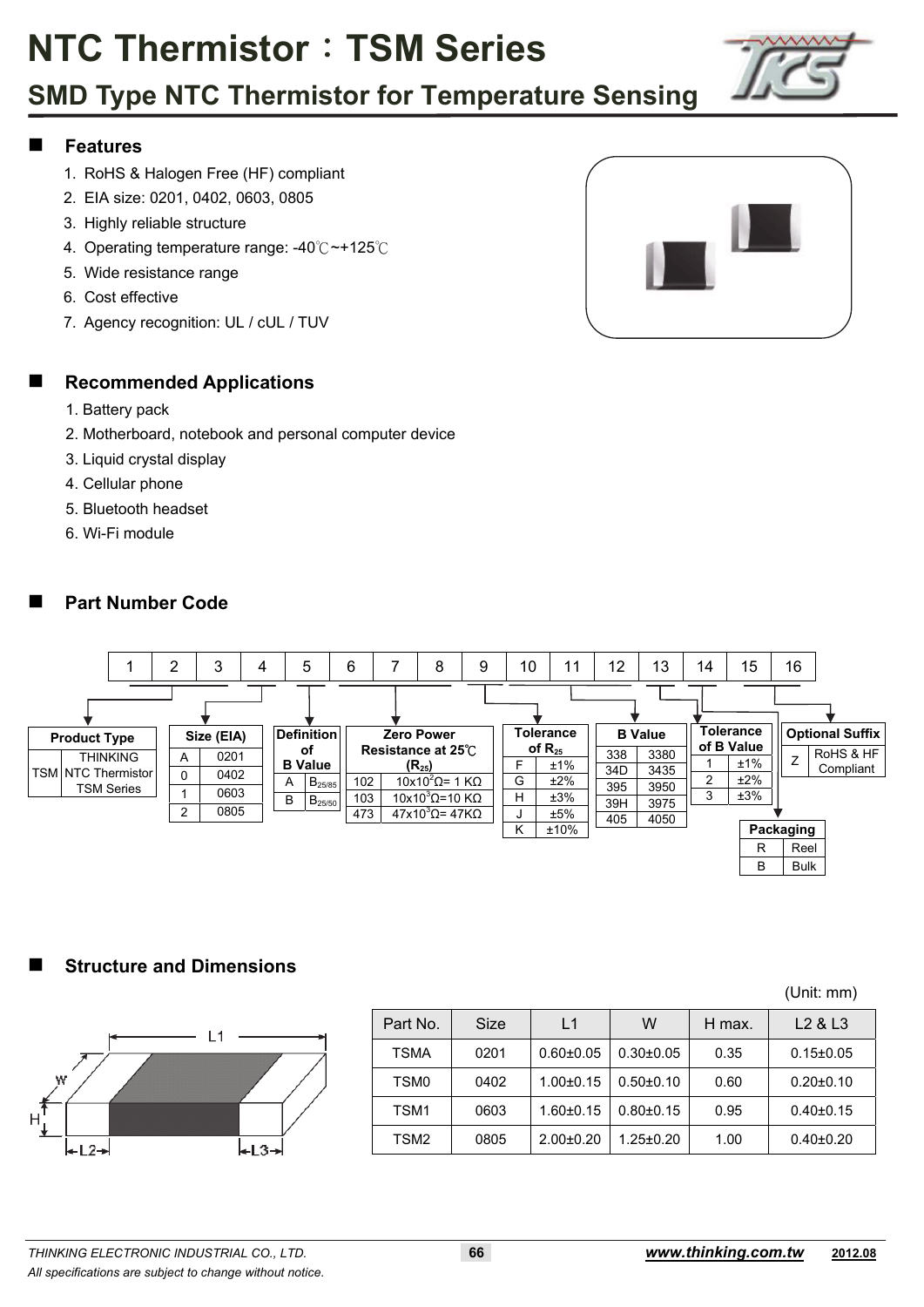### **SMD Type NTC Thermistor for Temperature Sensing**

#### **Features**

- 1. RoHS & Halogen Free (HF) compliant
- 2. EIA size: 0201, 0402, 0603, 0805
- 3. Highly reliable structure
- 4. Operating temperature range: -40 °C ~ +125 °C
- 5. Wide resistance range
- 6. Cost effective
- 7. Agency recognition: UL / cUL / TUV



#### **Recommended Applications**

- 1. Battery pack
- 2. Motherboard, notebook and personal computer device
- 3. Liquid crystal display
- 4. Cellular phone
- 5. Bluetooth headset
- 6. Wi-Fi module

#### **Part Number Code**



#### **Structure and Dimensions**



|                  |      |                 |                 |        | (Unit: mm)                      |
|------------------|------|-----------------|-----------------|--------|---------------------------------|
| Part No.         | Size | L1              | W               | H max. | L <sub>2</sub> & L <sub>3</sub> |
| TSMA             | 0201 | $0.60 + 0.05$   | $0.30 \pm 0.05$ | 0.35   | $0.15 \pm 0.05$                 |
| TSM <sub>0</sub> | 0402 | $1.00 \pm 0.15$ | $0.50 + 0.10$   | 0.60   | $0.20 \pm 0.10$                 |
| TSM1             | 0603 | $1.60 \pm 0.15$ | $0.80 + 0.15$   | 0.95   | $0.40 \pm 0.15$                 |
| TSM <sub>2</sub> | 0805 | $2.00+0.20$     | $1.25 \pm 0.20$ | 1.00   | $0.40 \pm 0.20$                 |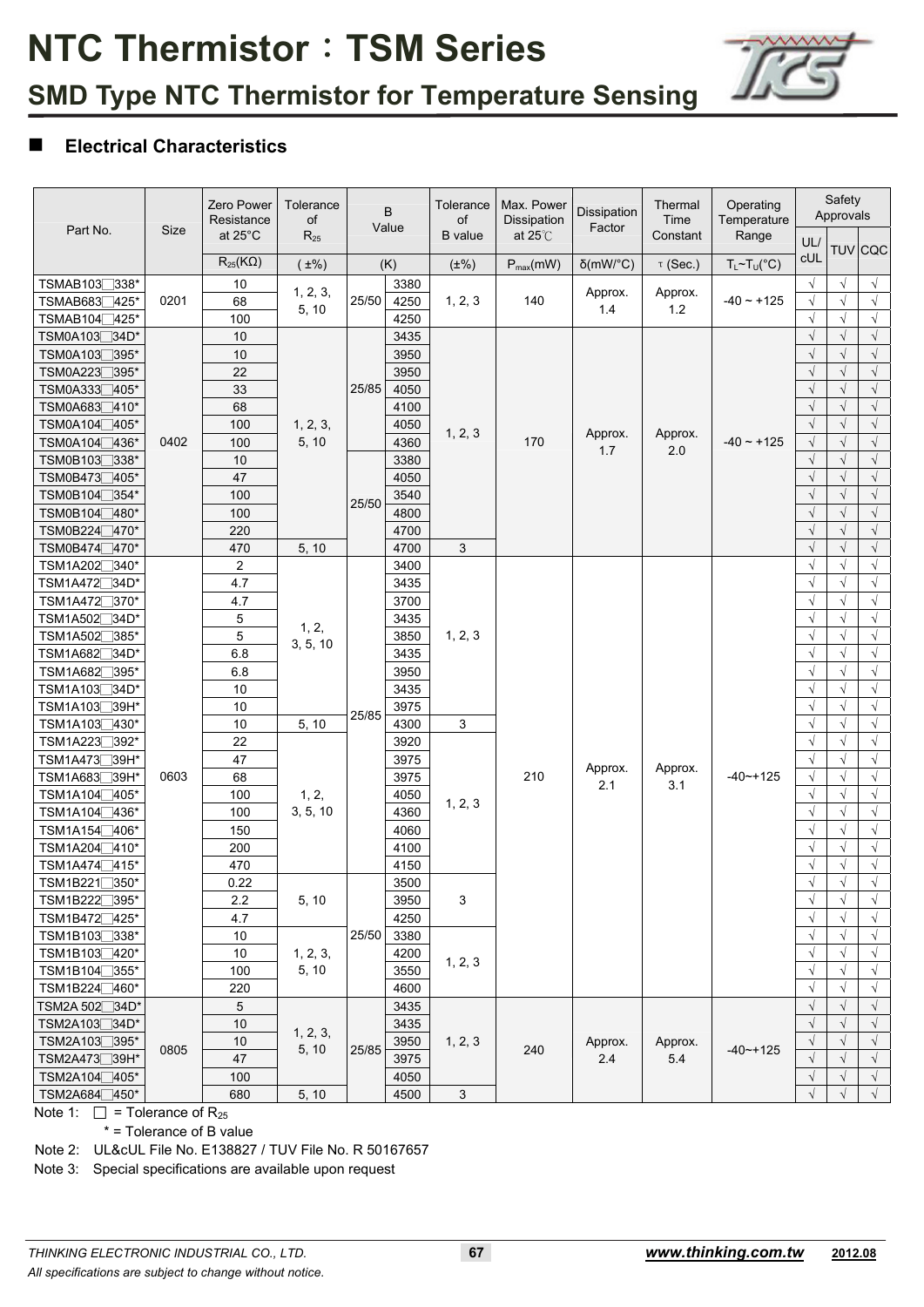

#### **Electrical Characteristics**

|                                |      | Zero Power<br>Resistance | Tolerance<br>of |       | B<br>Value | Tolerance<br>of | Max. Power<br>Dissipation | Dissipation<br>Factor | Thermal<br>Time | Operating<br>Temperature    |                      | Safety<br>Approvals |                |
|--------------------------------|------|--------------------------|-----------------|-------|------------|-----------------|---------------------------|-----------------------|-----------------|-----------------------------|----------------------|---------------------|----------------|
| Part No.                       | Size | at 25°C                  | $R_{25}$        |       |            | <b>B</b> value  | at $25^\circ\text{C}$     |                       | Constant        | Range                       | UL/                  |                     |                |
|                                |      | $R_{25}$ (K $\Omega$ )   | $(\pm\%)$       |       | (K)        | $(\pm\%)$       | $P_{max}(mW)$             | $\delta$ (mW/°C)      | $\tau$ (Sec.)   | $T_L \sim T_U({}^{\circ}C)$ | <b>CUL</b>           |                     | <b>TUV</b> CQC |
| TSMAB1037338*                  |      | 10                       |                 |       | 3380       |                 |                           |                       |                 |                             | $\sqrt{ }$           | $\sqrt{ }$          | $\sqrt{}$      |
| TSMAB683 <sup>1</sup> 425*     | 0201 | 68                       | 1, 2, 3,        | 25/50 | 4250       | 1, 2, 3         | 140                       | Approx.               | Approx.         | $-40 - +125$                | $\sqrt{}$            | $\sqrt{ }$          | $\sqrt{ }$     |
| TSMAB104 <sup>1</sup> 425*     |      | 100                      | 5, 10           |       | 4250       |                 |                           | 1.4                   | 1.2             |                             | $\sqrt{}$            | $\sqrt{ }$          | $\sqrt{ }$     |
| TSM0A103 <sub>□</sub> 34D*     |      | 10                       |                 |       | 3435       |                 |                           |                       |                 |                             | $\sqrt{}$            | $\sqrt{}$           | $\sqrt{}$      |
| TSM0A103 <sup>7395*</sup>      |      | 10                       |                 |       | 3950       |                 |                           |                       |                 |                             | $\sqrt{}$            |                     | $\sqrt{}$      |
| TSM0A2237395*                  |      | 22                       |                 |       | 3950       |                 |                           |                       |                 |                             | $\sqrt{}$            | $\sqrt{ }$          | $\sqrt{ }$     |
| TSM0A3337405*                  |      | 33                       |                 | 25/85 | 4050       |                 |                           |                       |                 |                             | $\sqrt{}$            | $\sqrt{ }$          | $\sqrt{ }$     |
| TSM0A683 <sup>1410*</sup>      |      | 68                       |                 |       | 4100       |                 |                           |                       |                 |                             | $\sqrt{}$            | $\sqrt{ }$          | $\sqrt{}$      |
| TSM0A104 <sub>1405</sub> *     |      | 100                      | 1, 2, 3,        |       | 4050       |                 |                           |                       |                 |                             | $\sqrt{ }$           | $\sqrt{ }$          | $\sqrt{}$      |
| TSM0A104 <sup>7436*</sup>      | 0402 | 100                      | 5, 10           |       | 4360       | 1, 2, 3         | 170                       | Approx.               | Approx.         | $-40 - +125$                | $\sqrt{}$            | $\sqrt{ }$          | $\sqrt{}$      |
| TSM0B103□338*                  |      | 10                       |                 |       | 3380       |                 |                           | 1.7                   | 2.0             |                             | $\sqrt{}$            | $\sqrt{ }$          | $\sqrt{ }$     |
| TSM0B473 <sup>405*</sup>       |      | 47                       |                 |       | 4050       |                 |                           |                       |                 |                             | $\sqrt{}$            | $\sqrt{ }$          | $\sqrt{ }$     |
| TSM0B104□354*                  |      | 100                      |                 |       | 3540       |                 |                           |                       |                 |                             | $\sqrt{}$            | $\sqrt{}$           | $\sqrt{}$      |
| TSM0B104 <sup>1</sup> 480*     |      | 100                      |                 | 25/50 | 4800       |                 |                           |                       |                 |                             | $\sqrt{\phantom{a}}$ | $\sqrt{}$           | $\sqrt{}$      |
| TSM0B224 <sup>7470*</sup>      |      | 220                      |                 |       | 4700       |                 |                           |                       |                 |                             | $\sqrt{\phantom{a}}$ | $\sqrt{ }$          | $\sqrt{ }$     |
| TSM0B474□470*                  |      | 470                      | 5, 10           |       | 4700       | 3               |                           |                       |                 |                             | $\sqrt{}$            | $\sqrt{ }$          | $\sqrt{ }$     |
| TSM1A202 <sup>7</sup> 340*     |      | $\overline{c}$           |                 |       | 3400       |                 |                           |                       |                 |                             | $\sqrt{}$            | $\sqrt{}$           | $\sqrt{ }$     |
| TSM1A472 <sup>34D*</sup>       |      | 4.7                      |                 |       | 3435       |                 |                           |                       |                 |                             | $\sqrt{ }$           | $\sqrt{}$           | $\sqrt{}$      |
| TSM1A472 <sub>2</sub> 370*     |      | 4.7                      |                 |       | 3700       |                 |                           |                       |                 |                             | $\sqrt{ }$           | $\sqrt{}$           | $\sqrt{}$      |
| TSM1A502 <sup>34D*</sup>       |      | $\mathbf 5$              |                 |       | 3435       |                 |                           |                       |                 |                             | $\sqrt{}$            | $\sqrt{ }$          | $\sqrt{ }$     |
| TSM1A502<br>7385*              |      | 5                        | 1, 2,           |       | 3850       | 1, 2, 3         |                           |                       |                 |                             | $\sqrt{}$            | $\sqrt{ }$          | $\sqrt{ }$     |
| TSM1A682<br>$\exists$ 34D*     |      | 6.8                      | 3, 5, 10        |       | 3435       |                 |                           |                       |                 |                             | $\sqrt{}$            | $\sqrt{ }$          | $\sqrt{ }$     |
| TSM1A682 <sup>395*</sup>       |      | 6.8                      |                 |       | 3950       |                 |                           |                       |                 |                             | $\sqrt{ }$           | $\sqrt{}$           | $\sqrt{}$      |
| $\Box$ 34D*<br><b>TSM1A103</b> |      | 10                       |                 |       | 3435       |                 |                           |                       |                 |                             | $\sqrt{}$            | $\sqrt{ }$          | $\sqrt{}$      |
| TSM1A103 <sup>39H*</sup>       |      | 10                       |                 |       | 3975       |                 |                           |                       |                 |                             | $\sqrt{}$            | $\sqrt{ }$          | $\sqrt{ }$     |
| TSM1A103 <sup>1430*</sup>      |      | 10                       | 5, 10           | 25/85 | 4300       | 3               |                           |                       |                 |                             | $\sqrt{}$            | $\sqrt{ }$          | $\sqrt{ }$     |
| TSM1A223 <sup>392*</sup>       |      | 22                       |                 |       | 3920       |                 |                           |                       |                 |                             | $\sqrt{ }$           | $\sqrt{}$           | $\sqrt{}$      |
| TSM1A473 <sup>739H*</sup>      |      | 47                       |                 |       | 3975       |                 |                           |                       |                 |                             | $\sqrt{}$            | $\sqrt{ }$          | $\sqrt{}$      |
| TSM1A683 <sup>39H*</sup>       | 0603 | 68                       |                 |       | 3975       |                 | 210                       | Approx.               | Approx.         | $-40$ $-+125$               | $\sqrt{\phantom{a}}$ | $\sqrt{ }$          | $\sqrt{}$      |
| TSM1A104 <sub>1405</sub> *     |      | 100                      | 1, 2,           |       | 4050       |                 |                           | 2.1                   | 3.1             |                             | $\sqrt{ }$           | $\sqrt{ }$          | $\sqrt{}$      |
| TSM1A104 <sub>436</sub> *      |      | 100                      | 3, 5, 10        |       | 4360       | 1, 2, 3         |                           |                       |                 |                             | $\sqrt{}$            | $\sqrt{ }$          | $\sqrt{}$      |
| TSM1A154 <sup>1</sup> 406*     |      | 150                      |                 |       | 4060       |                 |                           |                       |                 |                             | $\sqrt{}$            | $\sqrt{ }$          | $\sqrt{}$      |
| TSM1A204∏410*                  |      | 200                      |                 |       | 4100       |                 |                           |                       |                 |                             | $\sqrt{ }$           |                     | $\sqrt{ }$     |
| TSM1A474 <sup>7415*</sup>      |      | 470                      |                 |       | 4150       |                 |                           |                       |                 |                             | $\sqrt{}$            | $\sqrt{ }$          | $\sqrt{ }$     |
| TSM1B221□350*                  |      | 0.22                     |                 |       | 3500       |                 |                           |                       |                 |                             | $\sqrt{ }$           | V                   | $\sqrt{ }$     |
| TSM1B222 <sup>7395*</sup>      |      | 2.2                      | 5, 10           |       | 3950       | 3               |                           |                       |                 |                             | $\sqrt{ }$           | $\sqrt{ }$          | $\sqrt{ }$     |
| TSM1B472 <sup>425*</sup>       |      | 4.7                      |                 |       | 4250       |                 |                           |                       |                 |                             | $\sqrt{}$            |                     | $\sqrt{}$      |
| TSM1B103□338*                  |      | 10                       |                 | 25/50 | 3380       |                 |                           |                       |                 |                             | $\sqrt{}$            | $\sqrt{ }$          | $\sqrt{}$      |
| TSM1B103 <sup>420*</sup>       |      | 10                       | 1, 2, 3,        |       | 4200       |                 |                           |                       |                 |                             | $\sqrt{}$            | $\sqrt{ }$          | $\sqrt{ }$     |
| TSM1B104 <sup>7355*</sup>      |      | 100                      | 5, 10           |       | 3550       | 1, 2, 3         |                           |                       |                 |                             | $\sqrt{}$            | $\sqrt{ }$          | $\sqrt{ }$     |
| TSM1B224 460*                  |      | 220                      |                 |       | 4600       |                 |                           |                       |                 |                             | $\sqrt{ }$           | $\sqrt{ }$          | $\sqrt{}$      |
| TSM2A 502 <sup>-34D*</sup>     |      | 5                        |                 |       | 3435       |                 |                           |                       |                 |                             | $\sqrt{}$            | $\sqrt{}$           | $\sqrt{}$      |
| TSM2A103 <sup>734D*</sup>      |      | 10                       |                 |       | 3435       |                 |                           |                       |                 |                             | $\sqrt{}$            | $\sqrt{ }$          | $\sqrt{ }$     |
| TSM2A103 <sub>□</sub> 395*     | 0805 | 10                       | 1, 2, 3,        | 25/85 | 3950       | 1, 2, 3         |                           | Approx.               | Approx.         | $-40$ $-+125$               | $\sqrt{}$            | $\sqrt{ }$          | $\sqrt{ }$     |
| TSM2A473 <sup>39H*</sup>       |      | 47                       | 5, 10           |       | 3975       |                 | 240                       | $2.4$                 | 5.4             |                             | $\sqrt{}$            | $\sqrt{ }$          | $\sqrt{ }$     |
| TSM2A104 <sup>1405*</sup>      |      | 100                      |                 |       | 4050       |                 |                           |                       |                 |                             | $\sqrt{}$            | $\sqrt{ }$          | $\sqrt{ }$     |
| TSM2A684 <sub></sub> 450*      |      | 680                      | 5, 10           |       | 4500       | $\mathfrak{Z}$  |                           |                       |                 |                             | $\sqrt{}$            | $\sqrt{ }$          | $\sqrt{ }$     |

Note 1:  $\Box$  = Tolerance of R<sub>25</sub>

\* = Tolerance of B value

Note 2: UL&cUL File No. E138827 / TUV File No. R 50167657

Note 3: Special specifications are available upon request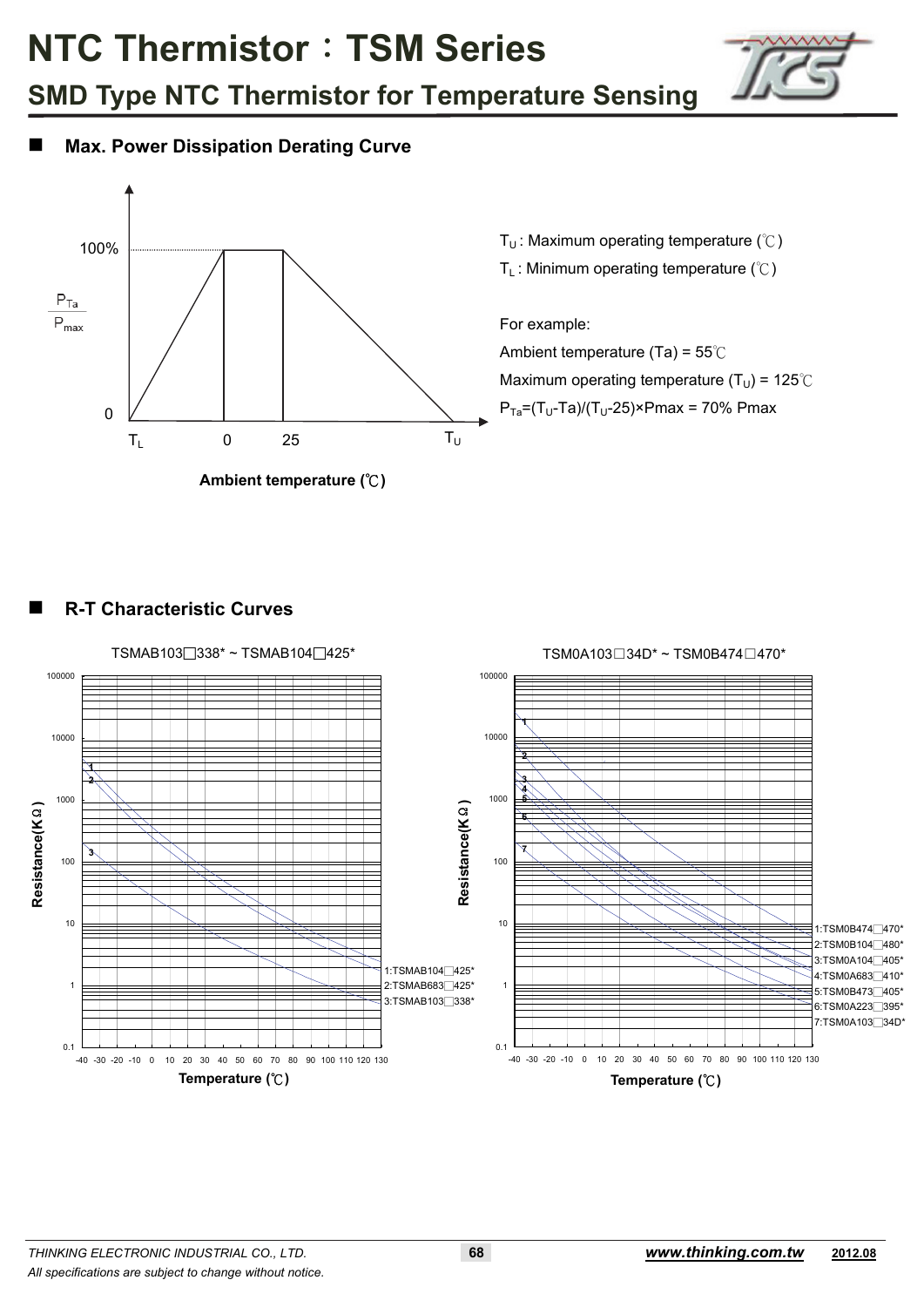



#### **Max. Power Dissipation Derating Curve**



T<sub>U</sub>: Maximum operating temperature ( $°C$ )

T<sub>L</sub>: Minimum operating temperature  $(\degree C)$ 

For example: Ambient temperature (Ta) =  $55^{\circ}$ C Maximum operating temperature ( $T_U$ ) = 125°C  $P_{Ta}=(T_U-Ta)/(T_U-25) \times Pmax = 70\% Pmax$ 

#### **R-T Characteristic Curves**

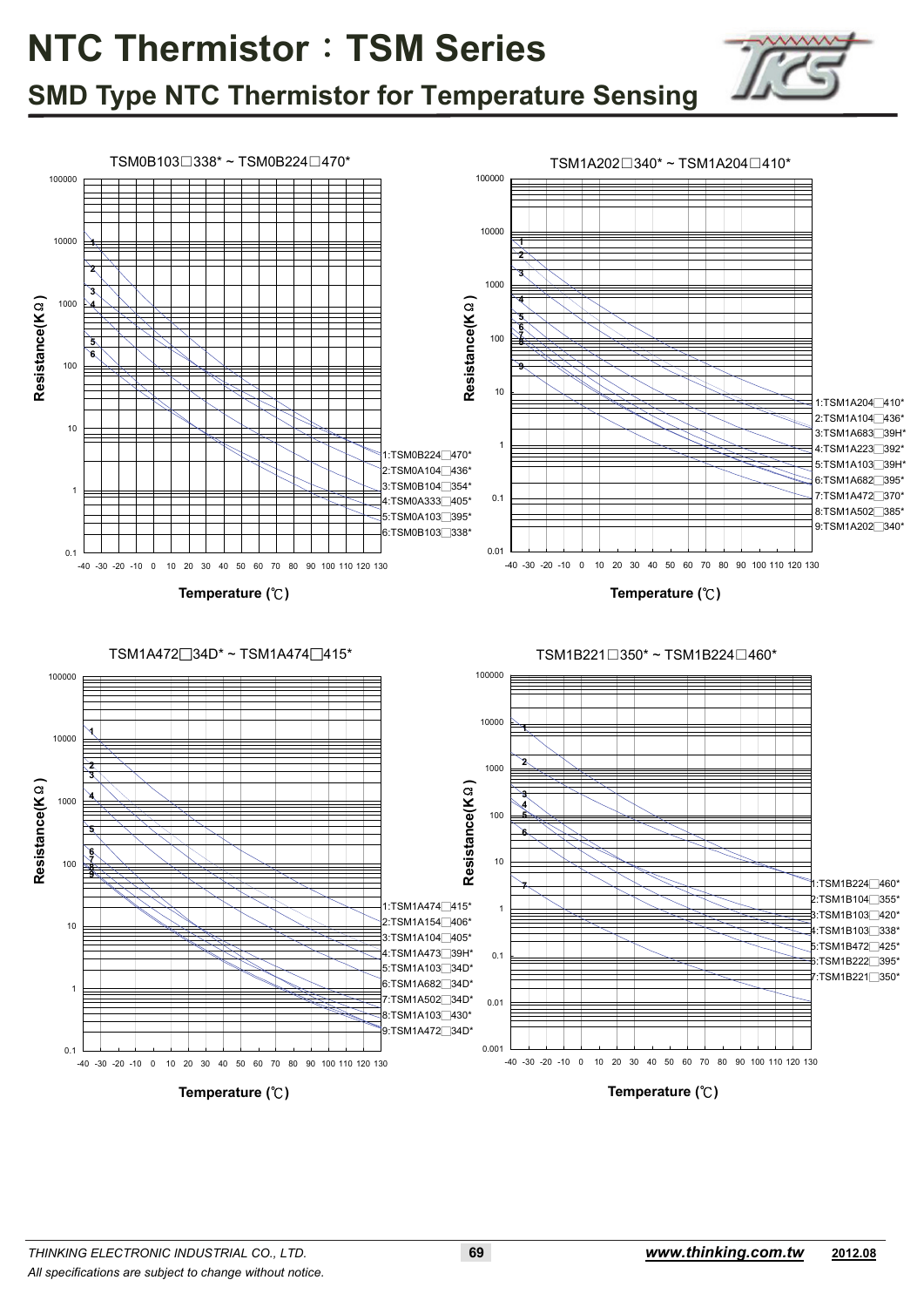

### **SMD Type NTC Thermistor for Temperature Sensing**

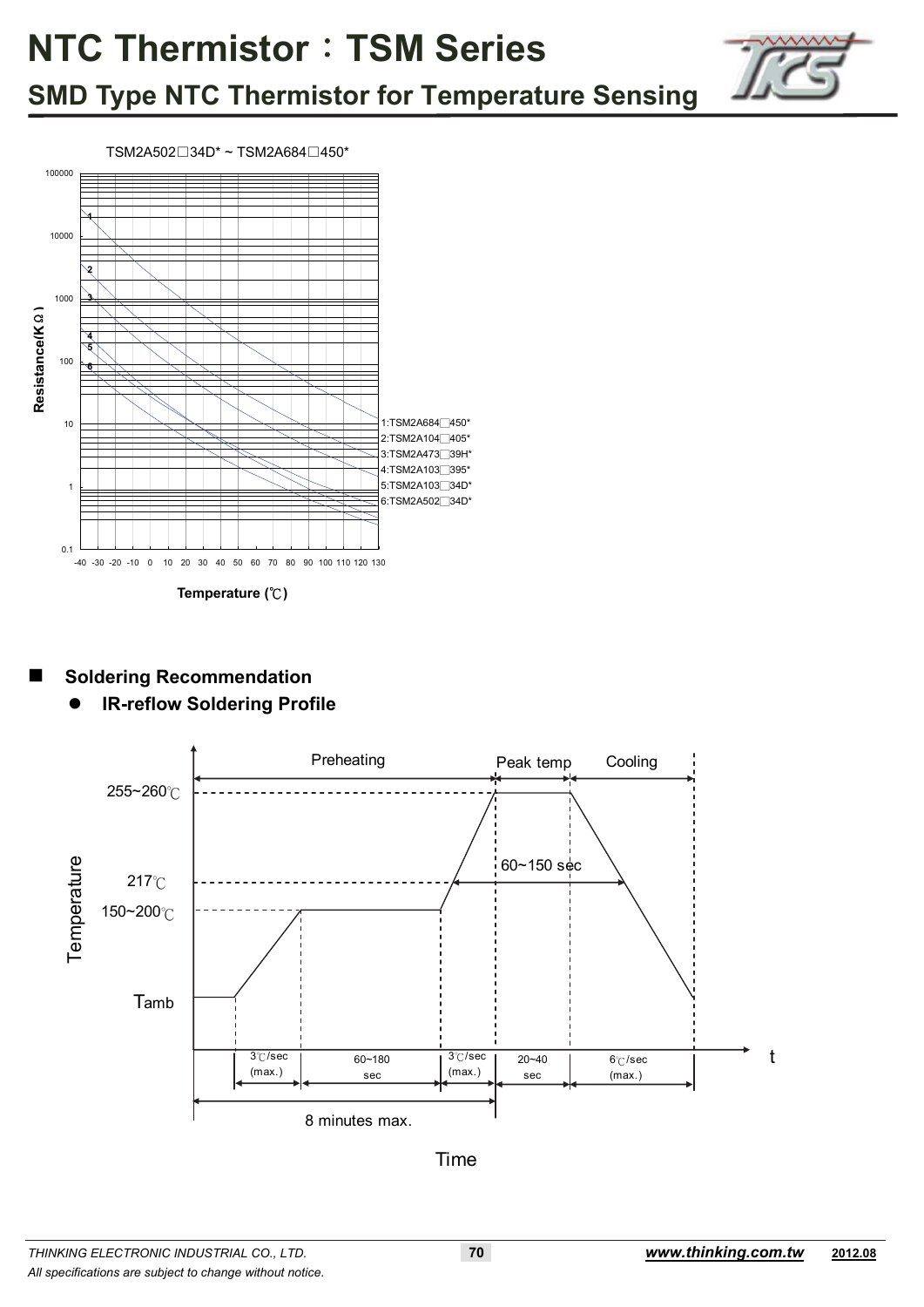

### **SMD Type NTC Thermistor for Temperature Sensing**



#### **Soldering Recommendation**

**IR-reflow Soldering Profile**



Time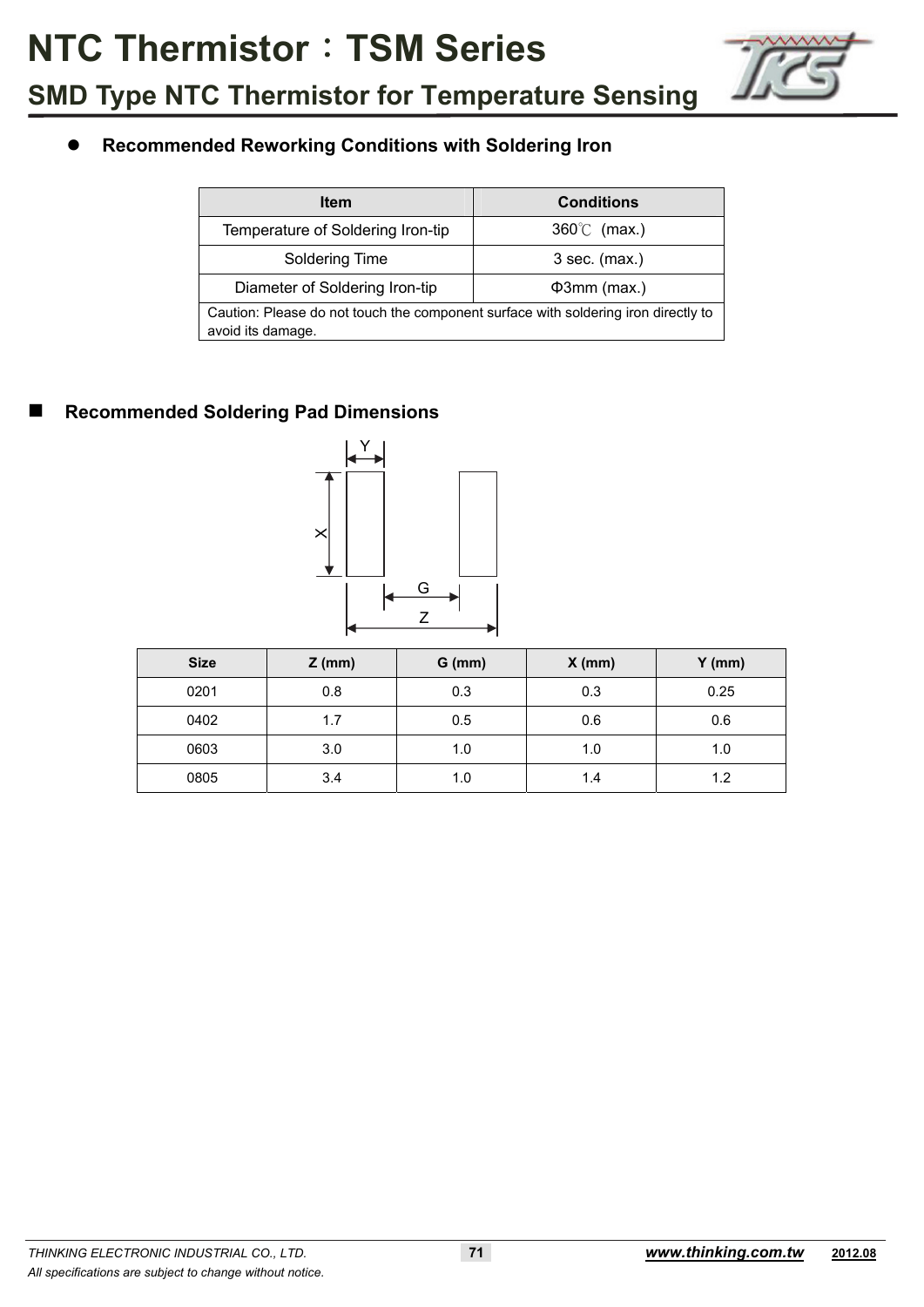

#### **Recommended Reworking Conditions with Soldering Iron**

| <b>Item</b>                                                                                             | <b>Conditions</b>    |  |  |  |  |  |  |
|---------------------------------------------------------------------------------------------------------|----------------------|--|--|--|--|--|--|
| Temperature of Soldering Iron-tip                                                                       | $360^{\circ}$ (max.) |  |  |  |  |  |  |
| Soldering Time                                                                                          | $3$ sec. (max.)      |  |  |  |  |  |  |
| Diameter of Soldering Iron-tip                                                                          | $\Phi$ 3mm (max.)    |  |  |  |  |  |  |
| Caution: Please do not touch the component surface with soldering iron directly to<br>avoid its damage. |                      |  |  |  |  |  |  |

#### **Recommended Soldering Pad Dimensions**



| <b>Size</b> | $Z$ (mm) | $G$ (mm) | $X$ (mm) | $Y$ (mm) |
|-------------|----------|----------|----------|----------|
| 0201        | 0.8      | 0.3      | 0.3      | 0.25     |
| 0402        | 1.7      | 0.5      | 0.6      | 0.6      |
| 0603        | 3.0      | 1.0      | 1.0      | 1.0      |
| 0805        | 3.4      | 1.0      | 1.4      | 1.2      |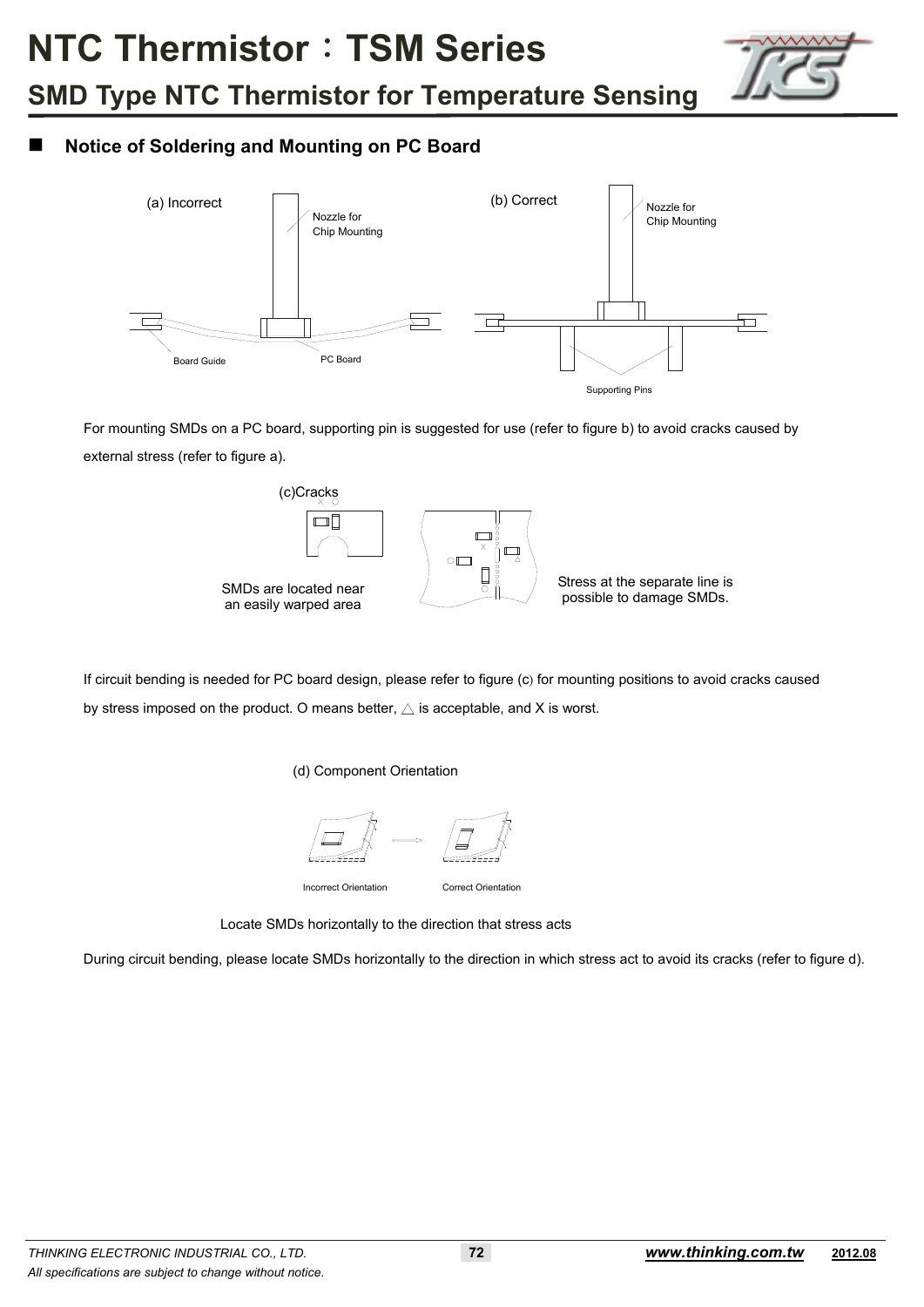

#### **Notice of Soldering and Mounting on PC Board**



 For mounting SMDs on a PC board, supporting pin is suggested for use (refer to figure b) to avoid cracks caused by external stress (refer to figure a).



If circuit bending is needed for PC board design, please refer to figure (c) for mounting positions to avoid cracks caused by stress imposed on the product. O means better,  $\triangle$  is acceptable, and X is worst.

(d) Component Orientation



Incorrect Orientation Correct Orientation

Locate SMDs horizontally to the direction that stress acts

During circuit bending, please locate SMDs horizontally to the direction in which stress act to avoid its cracks (refer to figure d).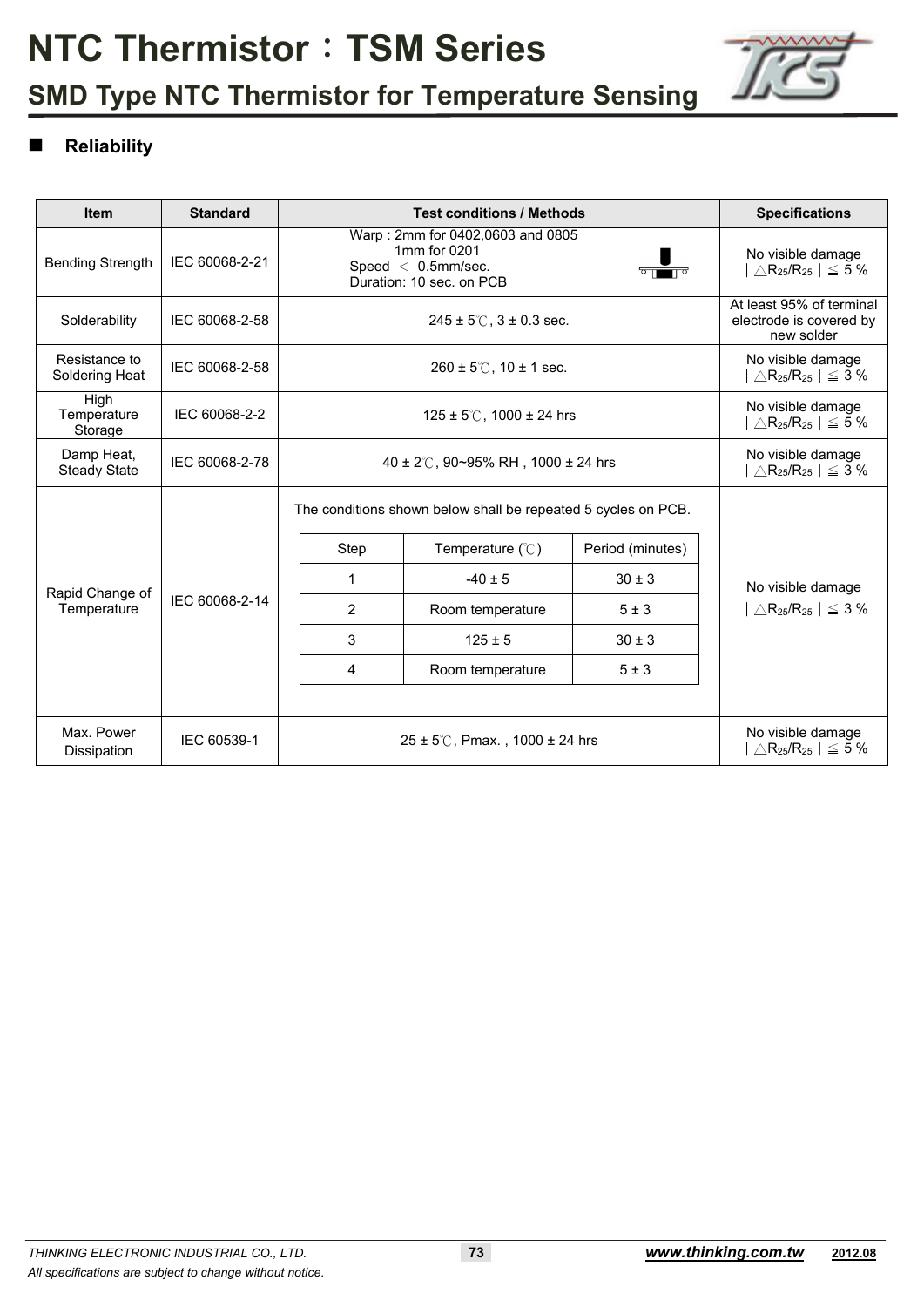

## **SMD Type NTC Thermistor for Temperature Sensing**

#### **Reliability**

| <b>Item</b>                       | <b>Standard</b> |                                                                                                                              | <b>Test conditions / Methods</b>                                                 |                  | <b>Specifications</b>                                     |  |  |  |
|-----------------------------------|-----------------|------------------------------------------------------------------------------------------------------------------------------|----------------------------------------------------------------------------------|------------------|-----------------------------------------------------------|--|--|--|
| <b>Bending Strength</b>           | IEC 60068-2-21  | Warp: 2mm for 0402,0603 and 0805<br>1mm for 0201<br>Speed $<$ 0.5mm/sec.<br>Duration: 10 sec. on PCB                         | No visible damage<br>$\triangle$ R <sub>25</sub> /R <sub>25</sub>   $\leq$ 5 %   |                  |                                                           |  |  |  |
| Solderability                     | IEC 60068-2-58  |                                                                                                                              | At least 95% of terminal<br>$245 \pm 5^{\circ}$ , $3 \pm 0.3$ sec.               |                  |                                                           |  |  |  |
| Resistance to<br>Soldering Heat   | IEC 60068-2-58  |                                                                                                                              | $260 \pm 5^{\circ}$ C, 10 ± 1 sec.                                               |                  |                                                           |  |  |  |
| High<br>Temperature<br>Storage    | IEC 60068-2-2   |                                                                                                                              | No visible damage<br>$\triangle$ R <sub>25</sub> /R <sub>25</sub> $ $ $\leq$ 5 % |                  |                                                           |  |  |  |
| Damp Heat,<br><b>Steady State</b> | IEC 60068-2-78  | 40 ± 2°C, 90~95% RH, 1000 ± 24 hrs                                                                                           | No visible damage<br>$\triangle$ R <sub>25</sub> /R <sub>25</sub>   $\leq 3\%$   |                  |                                                           |  |  |  |
|                                   |                 | The conditions shown below shall be repeated 5 cycles on PCB.                                                                |                                                                                  |                  |                                                           |  |  |  |
|                                   |                 | Step                                                                                                                         | Temperature $(\mathcal{C})$                                                      | Period (minutes) |                                                           |  |  |  |
| Rapid Change of                   | IEC 60068-2-14  | 1                                                                                                                            | $-40 \pm 5$                                                                      | $30 \pm 3$       | No visible damage                                         |  |  |  |
| Temperature                       |                 | 2                                                                                                                            | Room temperature                                                                 | 5±3              | $\triangle$ R <sub>25</sub> /R <sub>25</sub>   $\leq$ 3 % |  |  |  |
|                                   |                 | 3                                                                                                                            | $125 \pm 5$                                                                      | $30 \pm 3$       |                                                           |  |  |  |
|                                   |                 | 4                                                                                                                            | Room temperature                                                                 | 5±3              |                                                           |  |  |  |
|                                   |                 |                                                                                                                              |                                                                                  |                  |                                                           |  |  |  |
| Max. Power<br>Dissipation         | IEC 60539-1     | No visible damage<br>$25 \pm 5^{\circ}$ C, Pmax., 1000 ± 24 hrs<br>$\triangle$ R <sub>25</sub> /R <sub>25</sub>   $\leq$ 5 % |                                                                                  |                  |                                                           |  |  |  |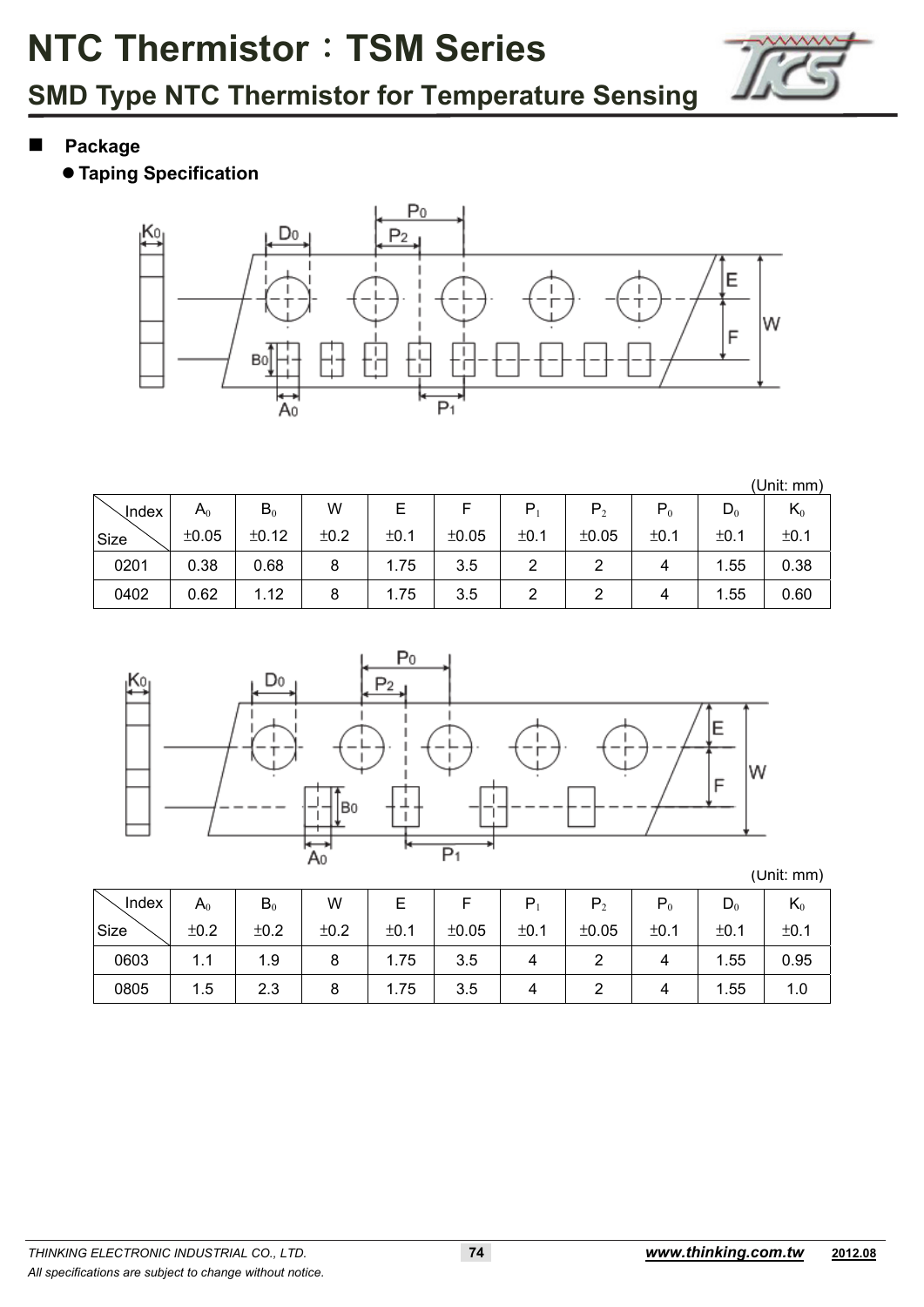

- **Package** 
	- **Taping Specification**



(Unit: mm)

| <b>Index</b> | $\mathsf A_0$ | $B_0$ | W    |      |       |      | P <sub>2</sub> | $P_0$ | $D_0$ | r\0  |
|--------------|---------------|-------|------|------|-------|------|----------------|-------|-------|------|
| Size         | ±0.05         | ±0.12 | ±0.2 | ±0.1 | ±0.05 | ±0.1 | ±0.05          | ±0.1  | ±0.1  | ±0.1 |
| 0201         | 0.38          | 0.68  | 8    | 1.75 | 3.5   |      |                |       | .55   | 0.38 |
| 0402         | 0.62          | 1.12  | 8    | 1.75 | 3.5   | ∼    |                |       | 1.55  | 0.60 |



(Unit: mm)

| Index | $\mathsf A_0$ | $B_0$ | W    |      |       | ם    | P <sub>2</sub> | $P_0$ | $D_0$ | $\mathbf{n}_0$ |
|-------|---------------|-------|------|------|-------|------|----------------|-------|-------|----------------|
| Size  | ±0.2          | ±0.2  | ±0.2 | ±0.1 | ±0.05 | ±0.1 | ±0.05          | ±0.1  | ±0.1  | ±0.1           |
| 0603  | 1.1           | 1.9   | 8    | 1.75 | 3.5   |      |                |       | 1.55  | 0.95           |
| 0805  | 1.5           | 2.3   | O    | 1.75 | 3.5   |      |                |       | 1.55  | 1.0            |